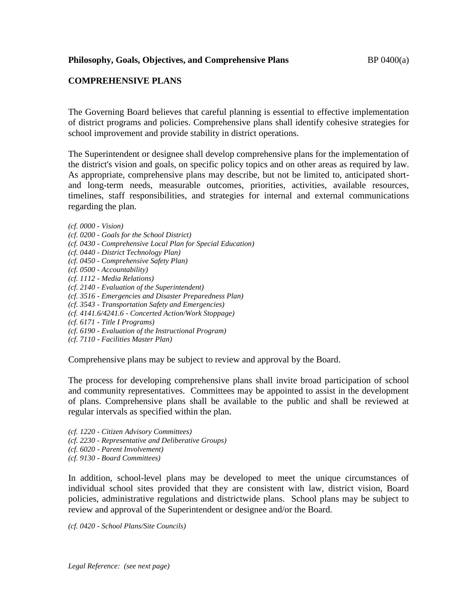## **COMPREHENSIVE PLANS**

The Governing Board believes that careful planning is essential to effective implementation of district programs and policies. Comprehensive plans shall identify cohesive strategies for school improvement and provide stability in district operations.

The Superintendent or designee shall develop comprehensive plans for the implementation of the district's vision and goals, on specific policy topics and on other areas as required by law. As appropriate, comprehensive plans may describe, but not be limited to, anticipated shortand long-term needs, measurable outcomes, priorities, activities, available resources, timelines, staff responsibilities, and strategies for internal and external communications regarding the plan.

*(cf. 0000 - Vision)*

- *(cf. 0200 - Goals for the School District)*
- *(cf. 0430 - Comprehensive Local Plan for Special Education)*
- *(cf. 0440 - District Technology Plan)*
- *(cf. 0450 - Comprehensive Safety Plan)*
- *(cf. 0500 - Accountability)*
- *(cf. 1112 - Media Relations)*
- *(cf. 2140 - Evaluation of the Superintendent)*
- *(cf. 3516 - Emergencies and Disaster Preparedness Plan)*
- *(cf. 3543 - Transportation Safety and Emergencies)*
- *(cf. 4141.6/4241.6 - Concerted Action/Work Stoppage)*
- *(cf. 6171 - Title I Programs)*
- *(cf. 6190 - Evaluation of the Instructional Program)*
- *(cf. 7110 - Facilities Master Plan)*

Comprehensive plans may be subject to review and approval by the Board.

The process for developing comprehensive plans shall invite broad participation of school and community representatives. Committees may be appointed to assist in the development of plans. Comprehensive plans shall be available to the public and shall be reviewed at regular intervals as specified within the plan.

*(cf. 1220 - Citizen Advisory Committees) (cf. 2230 - Representative and Deliberative Groups) (cf. 6020 - Parent Involvement) (cf. 9130 - Board Committees)*

In addition, school-level plans may be developed to meet the unique circumstances of individual school sites provided that they are consistent with law, district vision, Board policies, administrative regulations and districtwide plans. School plans may be subject to review and approval of the Superintendent or designee and/or the Board.

*(cf. 0420 - School Plans/Site Councils)*